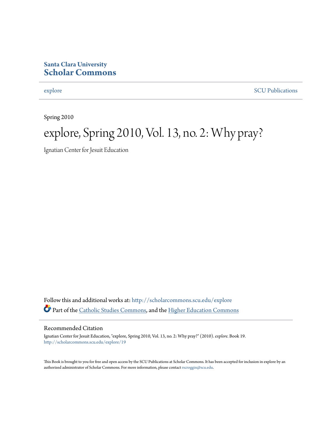### **Santa Clara University [Scholar Commons](http://scholarcommons.scu.edu?utm_source=scholarcommons.scu.edu%2Fexplore%2F19&utm_medium=PDF&utm_campaign=PDFCoverPages)**

[explore](http://scholarcommons.scu.edu/explore?utm_source=scholarcommons.scu.edu%2Fexplore%2F19&utm_medium=PDF&utm_campaign=PDFCoverPages) [SCU Publications](http://scholarcommons.scu.edu/scu_pubs?utm_source=scholarcommons.scu.edu%2Fexplore%2F19&utm_medium=PDF&utm_campaign=PDFCoverPages)

Spring 2010

### explore, Spring 2010, Vol. 13, no. 2: Why pray?

Ignatian Center for Jesuit Education

Follow this and additional works at: [http://scholarcommons.scu.edu/explore](http://scholarcommons.scu.edu/explore?utm_source=scholarcommons.scu.edu%2Fexplore%2F19&utm_medium=PDF&utm_campaign=PDFCoverPages) Part of the [Catholic Studies Commons,](http://network.bepress.com/hgg/discipline/1294?utm_source=scholarcommons.scu.edu%2Fexplore%2F19&utm_medium=PDF&utm_campaign=PDFCoverPages) and the [Higher Education Commons](http://network.bepress.com/hgg/discipline/1245?utm_source=scholarcommons.scu.edu%2Fexplore%2F19&utm_medium=PDF&utm_campaign=PDFCoverPages)

### Recommended Citation

Ignatian Center for Jesuit Education, "explore, Spring 2010, Vol. 13, no. 2: Why pray?" (2010). *explore.* Book 19. [http://scholarcommons.scu.edu/explore/19](http://scholarcommons.scu.edu/explore/19?utm_source=scholarcommons.scu.edu%2Fexplore%2F19&utm_medium=PDF&utm_campaign=PDFCoverPages)

This Book is brought to you for free and open access by the SCU Publications at Scholar Commons. It has been accepted for inclusion in explore by an authorized administrator of Scholar Commons. For more information, please contact [rscroggin@scu.edu.](mailto:rscroggin@scu.edu)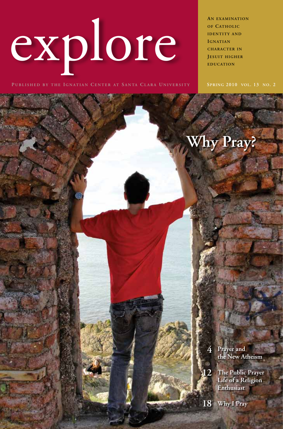explore

**An examination OF CATHOLIC IDENTITY AND Ignatian character in Jesuit higher education**

**Why Pray?**

**Spring 2010 vol. 13 no. 2**

**4 Prayer and the New Atheism**

**12 The Public Prayer Life of a Religion Enthusiast**

**18 Why I Pray**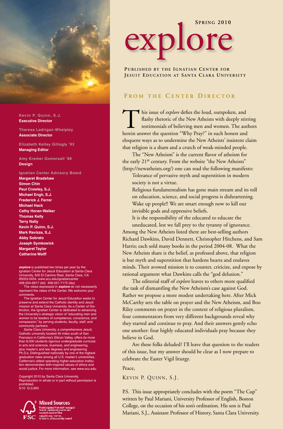

**Kevin P. Quinn, S.J. Executive Director**

**Theresa Ladrigan-Whelpley Associate Director**

**Elizabeth Kelley Gillogly '93 Managing Editor**

**Amy Kremer Gomersall '88 Design**

**Ignatian Center Advisory Board Margaret Bradshaw Simon Chin Paul Crowley, S.J. Michael Engh, S.J. Frederick J. Ferrer Michael Hack Cathy Horan-Walker Thomas Kelly Terry Nally Kevin P. Quinn, S.J. Mark Ravizza, S.J. Abby Sobrato Joseph Symkowick Margaret Taylor Catherine Wolff**

*explore* is published two times per year by the Ignatian Center for Jesuit Education at Santa Clara University, 500 El Camino Real, Santa Clara, CA 95053-0454. www.scu.edu/ignatiancenter 408-554-6917 (tel) 408-551-7175 (fax)

The views expressed in *explore* do not necessarily represent the views of the Center. We welcome your comments.

The Ignatian Center for Jesuit Education seeks to preserve and extend the Catholic identity and Jesuit mission at Santa Clara University. As a Center of Dis-tinction, the Ignatian Center is dedicated to advancing the University's strategic vision of "educating men and women to be leaders of competence, conscience, and compassion," by serving students, faculty, staff, and

community partners. Santa Clara University, a comprehensive Jesuit, Catholic university located 40 miles south of San Francisco in California's Silicon Valley, offers its more than 8,000 students rigorous undergraduate curricula in arts and sciences, business, and engineering, plus master's and law degrees and engineering Ph.D.s. Distinguished nationally by one of the highest graduation rates among all U.S. master's universities, California's oldest operating higher-education institu-tion demonstrates faith-inspired values of ethics and social justice. For more information, see www.scu.edu.

Copyright 2010 by Santa Clara University. Reproduction in whole or in part without permission is prohibited. 5/10 Q-3,900



**Mixed Sources** Product group from well in anaged<br>done is controlled source and<br>racycled word or fiber FSC www.fecang. Certific.com

# **Spring 2010** explore

**PUBLISHED BY THE IGNATIAN CENTER FOR JESUIT EDUCATION AT SANTA CLARA UNIVERSITY** 

### **F r o m t h e C e n t e r D i r e c t o r**

This issue of *explore* defies the loud, outspoken, and<br>flashy rhetoric of the New Atheists with deeply stir<br>testimonials of believing men and women. The authority<br>herein answer the question "Why Pray?" in such honest and flashy rhetoric of the New Atheists with deeply stirring testimonials of believing men and women. The authors herein answer the question "Why Pray?" in such honest and eloquent ways as to undermine the New Atheists' insistent claim that religion is a sham and a crutch of weak-minded people.

The "New Atheism" is the current flavor of atheism for the early 21st century. From the website "the New Atheists" (http://newatheists.org/) one can read the following manifesto:

Tolerance of pervasive myth and superstition in modern society is not a virtue.

Religious fundamentalism has gone main stream and its toll on education, science, and social progress is disheartening. Wake up people!! We are smart enough now to kill our invisible gods and oppressive beliefs.

It is the responsibility of the educated to educate the

uneducated, lest we fall prey to the tyranny of ignorance. Among the New Atheists listed there are best-selling authors Richard Dawkins, David Dennett, Christopher Hitchens, and Sam Harris; each sold many books in the period 2004-08. What the New Atheists share is the belief, as professed above, that religion is but myth and superstition that hardens hearts and enslaves minds. Their avowed mission is to counter, criticize, and expose by rational argument what Dawkins calls the "god delusion."

The editorial staff of *explore* leaves to others more qualified the task of dismantling the New Atheism's case against God. Rather we propose a more modest undertaking here. After Mick McCarthy sets the table on prayer and the New Atheism, and Boo Riley comments on prayer in the context of religious pluralism, four commentators from very different backgrounds reveal why they started and continue to pray. And their answers gently echo one another: four highly educated individuals pray because they believe in God.

Are these folks deluded? I'll leave that question to the readers of this issue, but my answer should be clear as I now prepare to celebrate the Easter Vigil liturgy.

Peace,

KEVIN P. QUINN, S.J.

P.S. This issue appropriately concludes with the poem "The Cup" written by Paul Mariani, University Professor of English, Boston College, on the occasion of his son's ordination. His son is Paul Mariani, S.J., Assistant Professor of History, Santa Clara University.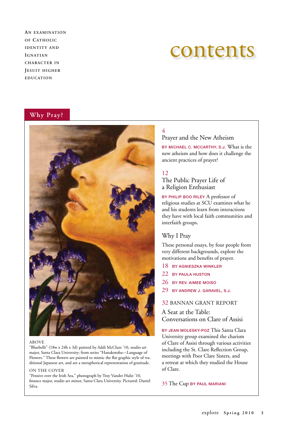**An examination of Catholic IDENTITY AND Ignatian character in Jesuit higher education**

### contents

### **Why Pray?**



#### ABOVE

"Bluebells" (18w x 24h x 3d) painted by Addi McClure '10, studio art major, Santa Clara University; from series "Hanakotoba—Language of Flowers." These flowers are painted to mimic the flat graphic style of traditional Japanese art, and are a metaphorical representation of gratitude.

#### ON THE COVER

"Pensive over the Irish Sea," photograph by Troy Vander Hulst '10, finance major, studio art minor, Santa Clara University. Pictured: Daniel Silva.

### 4

### Prayer and the New Atheism

By Michael C. McCarthy, S.J. What is the new atheism and how does it challenge the ancient practices of prayer?

### 12

### The Public Prayer Life of a Religion Enthusiast

BY PHILIP BOO RILEY A professor of religious studies at SCU examines what he and his students learn from interactions they have with local faith communities and interfaith groups.

### Why I Pray

These personal essays, by four people from very different backgrounds, explore the motivations and benefits of prayer.

- 18 By Agnieszka Winkler
- 22 BY PAULA HUSTON
- 26 BY Rev. Aimee Moiso
- 29 BY Andrew J. Garavel, S.J.

### 32 BANNAN GRANT REPORT

### A Seat at the Table: Conversations on Clare of Assisi

BY JEAN MOLESKY-POZ This Santa Clara University group examined the charism of Clare of Assisi through various activities including the St. Clare Reflection Group, meetings with Poor Clare Sisters, and a retreat at which they studied the House of Clare.

### 35 The Cup By Paul Mariani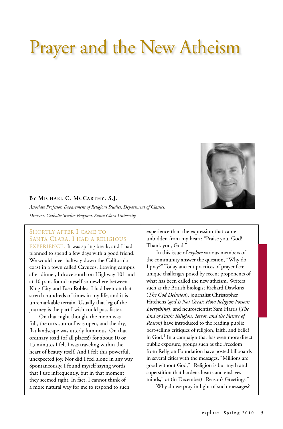## Prayer and the New Atheism



### **By Michael C. McCarthy, S.J.**

*Associate Professor, Department of Religious Studies, Department of Classics, Director, Catholic Studies Program, Santa Clara University*

### SHORTLY AFTER I CAME TO Santa Clara, I had a religious

EXPERIENCE. It was spring break, and I had planned to spend a few days with a good friend. We would meet halfway down the California coast in a town called Cayucos. Leaving campus after dinner, I drove south on Highway 101 and at 10 p.m. found myself somewhere between King City and Paso Robles. I had been on that stretch hundreds of times in my life, and it is unremarkable terrain. Usually that leg of the journey is the part I wish could pass faster.

On that night though, the moon was full, the car's sunroof was open, and the dry, flat landscape was utterly luminous. On that ordinary road (of all places!) for about 10 or 15 minutes I felt I was traveling within the heart of beauty itself. And I felt this powerful, unexpected joy. Nor did I feel alone in any way. Spontaneously, I found myself saying words that I use infrequently, but in that moment they seemed right. In fact, I cannot think of a more natural way for me to respond to such

experience than the expression that came unbidden from my heart: "Praise you, God! Thank you, God!"

In this issue of *explore* various members of the community answer the question, "Why do I pray?" Today ancient practices of prayer face unique challenges posed by recent proponents of what has been called the new atheism. Writers such as the British biologist Richard Dawkins (*The God Delusion*), journalist Christopher Hitchens (*god Is Not Great: How Religion Poisons Everything*), and neuroscientist Sam Harris (*The End of Faith: Religion, Terror, and the Future of Reason*) have introduced to the reading public best-selling critiques of religion, faith, and belief in  $God<sup>1</sup>$  In a campaign that has even more direct public exposure, groups such as the Freedom from Religion Foundation have posted billboards in several cities with the messages, "Millions are good without God," "Religion is but myth and superstition that hardens hearts and enslaves minds," or (in December) "Reason's Greetings."

Why do we pray in light of such messages?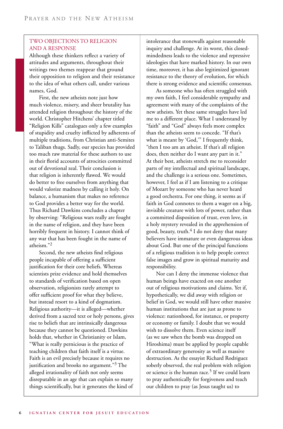### Two Objections to Religion and a Response

Although these thinkers reflect a variety of attitudes and arguments, throughout their writings two themes reappear that ground their opposition to religion and their resistance to the idea of what others call, under various names, God.

First, the new atheists note just how much violence, misery, and sheer brutality has attended religion throughout the history of the world. Christopher Hitchens' chapter titled "Religion Kills" catalogues only a few examples of stupidity and cruelty inflicted by adherents of multiple traditions, from Christian anti-Semites to Taliban thugs. Sadly, our species has provided too much raw material for these authors to use in their florid accounts of atrocities committed out of devotional zeal. Their conclusion is that religion is inherently flawed. We would do better to free ourselves from anything that would valorize madness by calling it holy. On balance, a humanism that makes no reference to God provides a better way for the world. Thus Richard Dawkins concludes a chapter by observing: "Religious wars really are fought in the name of religion, and they have been horribly frequent in history. I cannot think of any war that has been fought in the name of atheism."2

Second, the new atheists find religious people incapable of offering a sufficient justification for their core beliefs. Whereas scientists prize evidence and hold themselves to standards of verification based on open observation, religionists rarely attempt to offer sufficient proof for what they believe, but instead resort to a kind of dogmatism. Religious authority—it is alleged—whether derived from a sacred text or holy persons, gives rise to beliefs that are intrinsically dangerous because they cannot be questioned. Dawkins holds that, whether in Christianity or Islam, "What is really pernicious is the practice of teaching children that faith itself is a virtue. Faith is an evil precisely because it requires no justification and brooks no argument."<sup>3</sup> The alleged irrationality of faith not only seems disreputable in an age that can explain so many things scientifically, but it generates the kind of

intolerance that stonewalls against reasonable inquiry and challenge. At its worst, this closedmindedness leads to the violence and repressive ideologies that have marked history. In our own time, moreover, it has also legitimized ignorant resistance to the theory of evolution, for which there is strong evidence and scientific consensus.

As someone who has often struggled with my own faith, I feel considerable sympathy and agreement with many of the complaints of the new atheists. Yet these same struggles have led me to a different place. What I understand by "faith" and "God" always feels more complex than the atheists seem to concede. "If that's what is meant by 'God,'" I frequently think, "then I too am an atheist. If that's all religion does, then neither do I want any part in it." At their best, atheists stretch me to reconsider parts of my intellectual and spiritual landscape, and the challenge is a serious one. Sometimes, however, I feel as if I am listening to a critique of Mozart by someone who has never heard a good orchestra. For one thing, it seems as if faith in God connotes to them a wager on a big, invisible creature with lots of power, rather than a committed disposition of trust, even love, in a holy mystery revealed in the apprehension of good, beauty, truth.<sup>4</sup> I do not deny that many believers have immature or even dangerous ideas about God. But one of the principal functions of a religious tradition is to help people correct false images and grow in spiritual maturity and responsibility.

Nor can I deny the immense violence that human beings have exacted on one another out of religious motivations and claims. Yet if, hypothetically, we did away with religion or belief in God, we would still have other massive human institutions that are just as prone to violence: nationhood, for instance, or property or economy or family. I doubt that we would wish to dissolve them. Even science itself (as we saw when the bomb was dropped on Hiroshima) must be applied by people capable of extraordinary generosity as well as massive destruction. As the essayist Richard Rodriguez soberly observed, the real problem with religion or science is the human race.<sup>5</sup> If we could learn to pray authentically for forgiveness and teach our children to pray (as Jesus taught us) to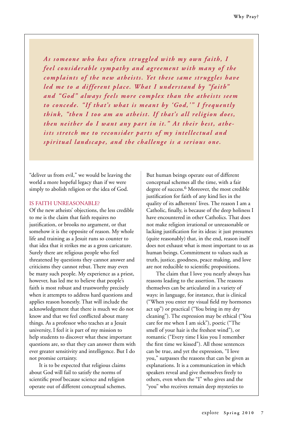*As someone who has often str uggled with my own faith, I feel considerable sympathy and agreement with many of the complaints of the new atheists. Yet these same struggles have led me to a different place. What I understand by "faith" and "God" always feels more complex than the atheists seem to concede. "If that's what is meant by 'God,'" I frequently think, "then I too am an atheist. If that's all religion does,*  then neither do I want any part in it." At their best, atheists stretch me to reconsider parts of my intellectual and *spiritual landscape, and the challenge is a serious one.*

"deliver us from evil," we would be leaving the world a more hopeful legacy than if we were simply to abolish religion or the idea of God.

### Is Faith Unreasonable?

Of the new atheists' objections, the less credible to me is the claim that faith requires no justification, or brooks no argument, or that somehow it is the opposite of reason. My whole life and training as a Jesuit runs so counter to that idea that it strikes me as a gross caricature. Surely there are religious people who feel threatened by questions they cannot answer and criticisms they cannot rebut. There may even be many such people. My experience as a priest, however, has led me to believe that people's faith is most robust and trustworthy precisely when it attempts to address hard questions and applies reason honestly. That will include the acknowledgement that there is much we do not know and that we feel conflicted about many things. As a professor who teaches at a Jesuit university, I feel it is part of my mission to help students to discover what these important questions are, so that they can answer them with ever greater sensitivity and intelligence. But I do not promise certainty.

It is to be expected that religious claims about God will fail to satisfy the norms of scientific proof because science and religion operate out of different conceptual schemes. But human beings operate out of different conceptual schemes all the time, with a fair degree of success.<sup>6</sup> Moreover, the most credible justification for faith of any kind lies in the quality of its adherents' lives. The reason I am a Catholic, finally, is because of the deep holiness I have encountered in other Catholics. That does not make religion irrational or unreasonable or lacking justification for its ideas: it just presumes (quite reasonably) that, in the end, reason itself does not exhaust what is most important to us as human beings. Commitment to values such as truth, justice, goodness, peace making, and love are not reducible to scientific propositions.

The claim that I love you nearly always has reasons leading to the assertion. The reasons themselves can be articulated in a variety of ways: in language, for instance, that is clinical ("When you enter my visual field my hormones act up") or practical ("You bring in my dry cleaning"). The expression may be ethical ("You care for me when I am sick"), poetic ("The smell of your hair is the freshest wind"), or romantic ("Every time I kiss you I remember the first time we kissed"). All those sentences can be true, and yet the expression, "I love you," surpasses the reasons that can be given as explanations. It is a communication in which speakers reveal and give themselves freely to others, even when the "I" who gives and the "you" who receives remain deep mysteries to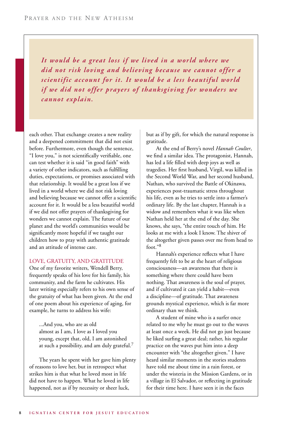*It would be a great loss if we lived in a world where we did not risk loving and believing because we cannot offer a scientific account for it. It would be a less beautiful world if we did not offer prayers of thanksgiving for wonders we cannot explain.*

each other. That exchange creates a new reality and a deepened commitment that did not exist before. Furthermore, even though the sentence, "I love you," is not scientifically verifiable, one can test whether it is said "in good faith" with a variety of other indicators, such as fulfilling duties, expectations, or promises associated with that relationship. It would be a great loss if we lived in a world where we did not risk loving and believing because we cannot offer a scientific account for it. It would be a less beautiful world if we did not offer prayers of thanksgiving for wonders we cannot explain. The future of our planet and the world's communities would be significantly more hopeful if we taught our children how to pray with authentic gratitude and an attitude of intense care.

### Love, Gratuity, and Gratitude

One of my favorite writers, Wendell Berry, frequently speaks of his love for his family, his community, and the farm he cultivates. His later writing especially refers to his own sense of the gratuity of what has been given. At the end of one poem about his experience of aging, for example, he turns to address his wife:

...And you, who are as old almost as I am, I love as I loved you young, except that, old, I am astonished at such a possibility, and am duly grateful.<sup>7</sup>

The years he spent with her gave him plenty of reasons to love her, but in retrospect what strikes him is that what he loved most in life did not have to happen. What he loved in life happened, not as if by necessity or sheer luck,

but as if by gift, for which the natural response is gratitude.

At the end of Berry's novel *Hannah Coulter*, we find a similar idea. The protagonist, Hannah, has led a life filled with deep joys as well as tragedies. Her first husband, Virgil, was killed in the Second World War, and her second husband, Nathan, who survived the Battle of Okinawa, experiences post-traumatic stress throughout his life, even as he tries to settle into a farmer's ordinary life. By the last chapter, Hannah is a widow and remembers what it was like when Nathan held her at the end of the day. She knows, she says, "the entire touch of him. He looks at me with a look I know. The shiver of the altogether given passes over me from head to foot."<sup>8</sup>

Hannah's experience reflects what I have frequently felt to be at the heart of religious consciousness—an awareness that there is something where there could have been nothing. That awareness is the soul of prayer, and if cultivated it can yield a habit—even a discipline—of gratitude. That awareness grounds mystical experience, which is far more ordinary than we think.

A student of mine who is a surfer once related to me why he must go out to the waves at least once a week. He did not go just because he liked surfing a great deal; rather, his regular practice on the waves put him into a deep encounter with "the altogether given." I have heard similar moments in the stories students have told me about time in a rain forest, or under the wisteria in the Mission Gardens, or in a village in El Salvador, or reflecting in gratitude for their time here. I have seen it in the faces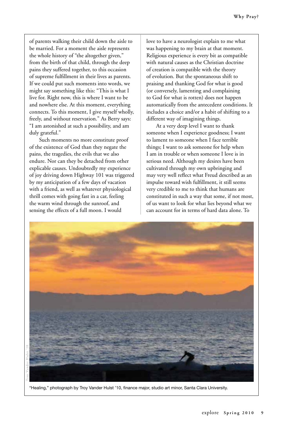of parents walking their child down the aisle to be married. For a moment the aisle represents the whole history of "the altogether given," from the birth of that child, through the deep pains they suffered together, to this occasion of supreme fulfillment in their lives as parents. If we could put such moments into words, we might say something like this: "This is what I live for. Right now, this is where I want to be and nowhere else. At this moment, everything connects. To this moment, I give myself wholly, freely, and without reservation." As Berry says: "I am astonished at such a possibility, and am duly grateful."

Such moments no more constitute proof of the existence of God than they negate the pains, the tragedies, the evils that we also endure. Nor can they be detached from other explicable causes. Undoubtedly my experience of joy driving down Highway 101 was triggered by my anticipation of a few days of vacation with a friend, as well as whatever physiological thrill comes with going fast in a car, feeling the warm wind through the sunroof, and sensing the effects of a full moon. I would

love to have a neurologist explain to me what was happening to my brain at that moment. Religious experience is every bit as compatible with natural causes as the Christian doctrine of creation is compatible with the theory of evolution. But the spontaneous shift to praising and thanking God for what is good (or conversely, lamenting and complaining to God for what is rotten) does not happen automatically from the antecedent conditions. It includes a choice and/or a habit of shifting to a different way of imagining things.

At a very deep level I want to thank someone when I experience goodness; I want to lament to someone when I face terrible things; I want to ask someone for help when I am in trouble or when someone I love is in serious need. Although my desires have been cultivated through my own upbringing and may very well reflect what Freud described as an impulse toward wish fulfillment, it still seems very credible to me to think that humans are constituted in such a way that some, if not most, of us want to look for what lies beyond what we can account for in terms of hard data alone. To



"Healing," photograph by Troy Vander Hulst '10, finance major, studio art minor, Santa Clara University.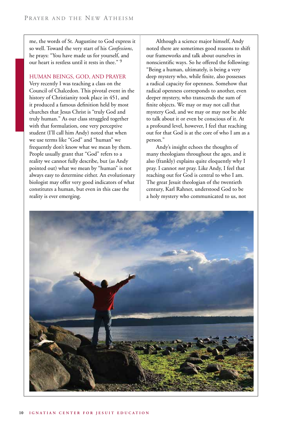me, the words of St. Augustine to God express it so well. Toward the very start of his *Confessions*, he prays: "You have made us for yourself, and our heart is restless until it rests in thee." 9

### Human Beings, God, and Prayer

Very recently I was teaching a class on the Council of Chalcedon. This pivotal event in the history of Christianity took place in 451, and it produced a famous definition held by most churches that Jesus Christ is "truly God and truly human." As our class struggled together with that formulation, one very perceptive student (I'll call him Andy) noted that when we use terms like "God" and "human" we frequently don't know what we mean by them. People usually grant that "God" refers to a reality we cannot fully describe, but (as Andy pointed out) what we mean by "human" is not always easy to determine either. An evolutionary biologist may offer very good indicators of what constitutes a human, but even in this case the reality is ever emerging.

Although a science major himself, Andy noted there are sometimes good reasons to shift our frameworks and talk about ourselves in nonscientific ways. So he offered the following: "Being a human, ultimately, is being a very deep mystery who, while finite, also possesses a radical capacity for openness. Somehow that radical openness corresponds to another, even deeper mystery, who transcends the sum of finite objects. We may or may not call that mystery God, and we may or may not be able to talk about it or even be conscious of it. At a profound level, however, I feel that reaching out for that God is at the core of who I am as a person."

Andy's insight echoes the thoughts of many theologians throughout the ages, and it also (frankly) explains quite eloquently why I pray. I cannot *not* pray. Like Andy, I feel that reaching out for God is central to who I am. The great Jesuit theologian of the twentieth century, Karl Rahner, understood God to be a holy mystery who communicated to us, not

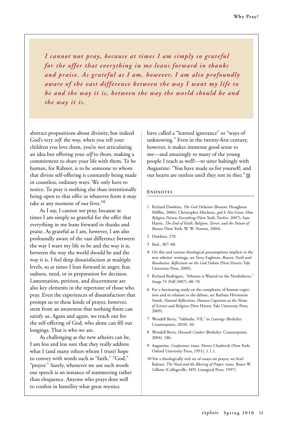*I cannot* **not** *pray, because at times I am simply so grateful for the offer that ever ything in me leans forward in thanks and praise. As grateful as I am, however, I am also profoundly aware of the vast difference between the way I want my life to be and the way it is, between the way the world should be and the way it is.*

abstract propositions about divinity, but indeed God's very *self*: the way, when you tell your children you love them, you're not articulating an idea but offering your *self* to them, making a commitment to share your life with them. To be human, for Rahner, is to be someone to whom that divine self-offering is constantly being made in countless, ordinary ways. We only have to notice. To pray is nothing else than intentionally being open to that offer in whatever form it may take at any moment of our lives.<sup>10</sup>

As I say, I cannot *not* pray, because at times I am simply so grateful for the offer that everything in me leans forward in thanks and praise. As grateful as I am, however, I am also profoundly aware of the vast difference between the way I want my life to be and the way it is, between the way the world should be and the way it is. I feel deep dissatisfaction at multiple levels, so at times I lean forward in anger, fear, sadness, need, or in preparation for decision. Lamentation, petition, and discernment are also key elements in the repertoire of those who pray. Even the experiences of dissatisfaction that prompt us to these kinds of prayer, however, stem from an awareness that nothing finite can satisfy us. Again and again, we reach out for the self-offering of God, who alone can fill our longings. That is who we are.

As challenging as the new atheists can be, I am less and less sure that they really address what I (and many others whom I trust) hope to convey with words such as "faith," "God," "prayer." Surely, whenever we use such words our speech is an instance of stammering rather than eloquence. Anyone who prays does well to confess in humility what great mystics

have called a "learned ignorance" or "ways of unknowing." Even in the twenty-first century, however, it makes immense good sense to me—and amazingly to many of the young people I teach as well!—to utter haltingly with Augustine: "You have made us for yourself; and our hearts are restless until they rest in thee." e

#### **ENDNOTES**

- 1 Richard Dawkins, *The God Delusion* (Boston: Houghton Mifflin, 2006); Christopher Hitchens, *god Is Not Great: How Religion Poisons Everything* (New York: Twelve, 2007); Sam Harris, *The End of Faith: Religion, Terror, and the Future of Reason* (New York: W. W. Norton, 2004).
- 2 Dawkins, 278.
- 3 Ibid., 307–08.
- 4 On this and various theological presumptions implicit in the new atheists' writings, see Terry Eagleton, *Reason, Faith and Revolution: Reflections on the God Debate* (New Haven: Yale University Press, 2009).
- 5 Richard Rodriguez, "Atheism is Wasted on the Nonbeliever," *Image* 55 (Fall 2007): 68–70.
- 6 For a fascinating study on the complexity of human cognition and its relation to the debate, see Barbara Herrnstein Smith, *Natural Reflections: Human Cognition at the Nexus of Science and Religion* (New Haven: Yale University Press, 2009).
- 7 Wendell Berry, "Sabbaths, VII," in *Leavings* (Berkeley: Counterpoint, 2010), 40.
- 8 Wendell Berry, *Hannah Coulter* (Berkeley: Counterpoint, 2004), 186.
- 9 Augustine, *Confessions,* trans. Henry Chadwick (New York: Oxford University Press, 1991), 1.1.1.
- 10 For a theologically rich set of essays on prayer, see Karl Rahner, *The Need and the Blessing of Prayer*, trans. Bruce W. Gillette (Collegeville, MN: Liturgical Press, 1997).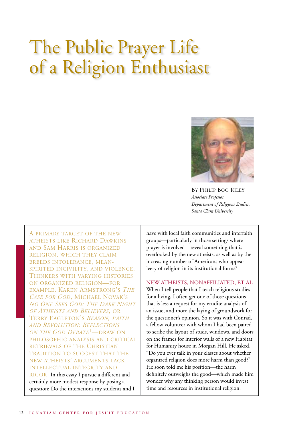## The Public Prayer Life of a Religion Enthusiast



By Philip Boo Riley *Associate Professor, Department of Religious Studies, Santa Clara University*

A primary target of the new atheists like Richard Dawkins and Sam Harris is organized religion, which they claim breeds intolerance, meanspirited incivility, and violence. Thinkers with varying histories on organized religion—for example, Karen Armstrong's *The Case for God*, Michael Novak's *No One Sees God: The Dark Night of Atheists and Believers*, or Terry Eagleton's *Reason, Faith and Revolution: Reflections on the God Debate*1—draw on philosophic analysis and critical retrievals of the Christian tradition to suggest that the new atheists' arguments lack intellectual integrity and

RIGOR. In this essay I pursue a different and certainly more modest response by posing a question: Do the interactions my students and I have with local faith communities and interfaith groups—particularly in those settings where prayer is involved—reveal something that is overlooked by the new atheists, as well as by the increasing number of Americans who appear leery of religion in its institutional forms?

New atheists, nonaffiliated, et al When I tell people that I teach religious studies for a living, I often get one of those questions that is less a request for my erudite analysis of an issue, and more the laying of groundwork for the questioner's opinion. So it was with Conrad, a fellow volunteer with whom I had been paired to scribe the layout of studs, windows, and doors on the frames for interior walls of a new Habitat for Humanity house in Morgan Hill. He asked, "Do you ever talk in your classes about whether organized religion does more harm than good?" He soon told me his position—the harm definitely outweighs the good—which made him wonder why any thinking person would invest time and resources in institutional religion.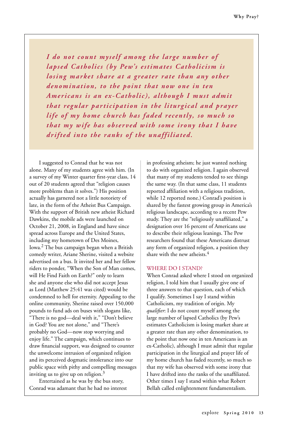*I do not count myself among the large number of lapsed Catholics (by Pew's estimates Catholicism is losing market share at a greater rate than any other denomination, to the point that now one in ten Americans is an ex-Catholic), although I must admit that regular par ticipation in the liturgical and prayer life of my home church has faded recently, so much so that my wife has obser ved with some irony that I have drifted into the ranks of the unaffiliated.*

I suggested to Conrad that he was not alone. Many of my students agree with him. (In a survey of my Winter quarter first-year class, 14 out of 20 students agreed that "religion causes more problems than it solves.") His position actually has garnered not a little notoriety of late, in the form of the Atheist Bus Campaign. With the support of British new atheist Richard Dawkins, the mobile ads were launched on October 21, 2008, in England and have since spread across Europe and the United States, including my hometown of Des Moines, Iowa.2 The bus campaign began when a British comedy writer, Ariane Sherine, visited a website advertised on a bus. It invited her and her fellow riders to ponder, "When the Son of Man comes, will He Find Faith on Earth?" only to learn she and anyone else who did not accept Jesus as Lord (Matthew 25:41 was cited) would be condemned to hell for eternity. Appealing to the online community, Sherine raised over 150,000 pounds to fund ads on buses with slogans like, "There is no god—deal with it," "Don't believe in God? You are not alone," and "There's probably no God—now stop worrying and enjoy life." The campaign, which continues to draw financial support, was designed to counter the unwelcome intrusion of organized religion and its perceived dogmatic intolerance into our public space with pithy and compelling messages inviting us to give up on religion. $3$ 

Entertained as he was by the bus story, Conrad was adamant that he had no interest in professing atheism; he just wanted nothing to do with organized religion. I again observed that many of my students tended to see things the same way. (In that same class, 11 students reported affiliation with a religious tradition, while 12 reported none.) Conrad's position is shared by the fastest growing group in America's religious landscape, according to a recent Pew study. They are the "religiously unaffiliated," a designation over 16 percent of Americans use to describe their religious leanings. The Pew researchers found that these Americans distrust any form of organized religion, a position they share with the new atheists.<sup>4</sup>

### WHERE DO I STAND?

When Conrad asked where I stood on organized religion, I told him that I usually give one of three answers to that question, each of which I qualify. Sometimes I say I stand within Catholicism, my tradition of origin. My *qualifier*: I do not count myself among the large number of lapsed Catholics (by Pew's estimates Catholicism is losing market share at a greater rate than any other denomination, to the point that now one in ten Americans is an ex-Catholic), although I must admit that regular participation in the liturgical and prayer life of my home church has faded recently, so much so that my wife has observed with some irony that I have drifted into the ranks of the unaffiliated. Other times I say I stand within what Robert Bellah called enlightenment fundamentalism.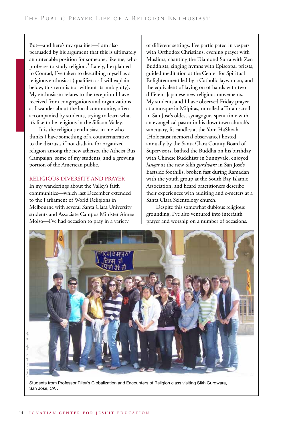But—and here's my qualifier—I am also persuaded by his argument that this is ultimately an untenable position for someone, like me, who professes to study religion.<sup>5</sup> Lately, I explained to Conrad, I've taken to describing myself as a religious enthusiast (qualifier: as I will explain below, this term is not without its ambiguity). My enthusiasm relates to the reception I have received from congregations and organizations as I wander about the local community, often accompanied by students, trying to learn what it's like to be religious in the Silicon Valley.

It is the religious enthusiast in me who thinks I have something of a counternarrative to the distrust, if not disdain, for organized religion among the new atheists, the Atheist Bus Campaign, some of my students, and a growing portion of the American public.

### Religious diversity and prayer

In my wanderings about the Valley's faith communities—which last December extended to the Parliament of World Religions in Melbourne with several Santa Clara University students and Associate Campus Minister Aimee Moiso—I've had occasion to pray in a variety

of different settings. I've participated in vespers with Orthodox Christians, evening prayer with Muslims, chanting the Diamond Sutra with Zen Buddhists, singing hymns with Episcopal priests, guided meditation at the Center for Spiritual Enlightenment led by a Catholic laywoman, and the equivalent of laying on of hands with two different Japanese new religious movements. My students and I have observed Friday prayer at a mosque in Milpitas, unrolled a Torah scroll in San Jose's oldest synagogue, spent time with an evangelical pastor in his downtown church's sanctuary, lit candles at the Yom HaShoah (Holocaust memorial observance) hosted annually by the Santa Clara County Board of Supervisors, bathed the Buddha on his birthday with Chinese Buddhists in Sunnyvale, enjoyed *langar* at the new Sikh *gurdwara* in San Jose's Eastside foothills, broken fast during Ramadan with the youth group at the South Bay Islamic Association, and heard practitioners describe their experiences with auditing and e-meters at a Santa Clara Scientology church.

Despite this somewhat dubious religious grounding, I've also ventured into interfaith prayer and worship on a number of occasions.



Students from Professor Riley's Globalization and Encounters of Religion class visiting Sikh Gurdwara, San Jose, CA .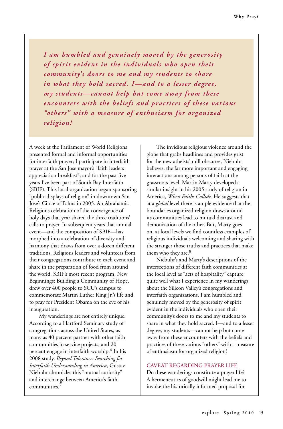*I am humbled and genuinely moved by the generosity of spirit evident in the individuals who open their community's doors to me and my students to share in what they hold sacred. I—and to a lesser degree, my students—cannot help but come away from these encounters with the beliefs and practices of these various "others" with a measure of enthusiasm for organized religion!*

A week at the Parliament of World Religions presented formal and informal opportunities for interfaith prayer; I participate in interfaith prayer at the San Jose mayor's "faith leaders appreciation breakfast"; and for the past five years I've been part of South Bay Interfaith (SBIF). This local organization began sponsoring "public displays of religion" in downtown San Jose's Circle of Palms in 2005. An Abrahamic Religions celebration of the convergence of holy days that year shared the three traditions' calls to prayer. In subsequent years that annual event—and the composition of SBIF—has morphed into a celebration of diversity and harmony that draws from over a dozen different traditions. Religious leaders and volunteers from their congregations contribute to each event and share in the preparation of food from around the world. SBIF's most recent program, New Beginnings: Building a Community of Hope, drew over 400 people to SCU's campus to commemorate Martin Luther King Jr.'s life and to pray for President Obama on the eve of his inauguration.

My wanderings are not entirely unique. According to a Hartford Seminary study of congregations across the United States, as many as 40 percent partner with other faith communities in service projects, and 20 percent engage in interfaith worship.<sup>6</sup> In his 2008 study, *Beyond Tolerance: Searching for Interfaith Understanding in America*, Gustav Niebuhr chronicles this "mutual curiosity" and interchange between America's faith communities.7

The invidious religious violence around the globe that grabs headlines and provides grist for the new atheists' mill obscures, Niebuhr believes, the far more important and engaging interactions among persons of faith at the grassroots level. Martin Marty developed a similar insight in his 2005 study of religion in America, *When Faiths Collide*. He suggests that at a *global* level there is ample evidence that the boundaries organized religion draws around its communities lead to mutual distrust and demonization of the other. But, Marty goes on, at local levels we find countless examples of religious individuals welcoming and sharing with the stranger those truths and practices that make them who they are.<sup>8</sup>

Niebuhr's and Marty's descriptions of the intersections of different faith communities at the local level as "acts of hospitality" capture quite well what I experience in my wanderings about the Silicon Valley's congregations and interfaith organizations. I am humbled and genuinely moved by the generosity of spirit evident in the individuals who open their community's doors to me and my students to share in what they hold sacred. I—and to a lesser degree, my students—cannot help but come away from these encounters with the beliefs and practices of these various "others" with a measure of enthusiasm for organized religion!

### Caveat regarding prayer life

Do these wanderings constitute a prayer life? A hermeneutics of goodwill might lead me to invoke the historically informed proposal for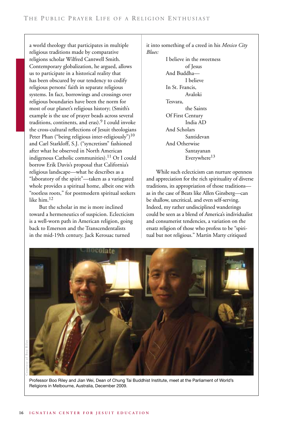a world theology that participates in multiple religious traditions made by comparative religions scholar Wilfred Cantwell Smith. Contemporary globalization, he argued, allows us to participate in a historical reality that has been obscured by our tendency to codify religious persons' faith in separate religious systems. In fact, borrowings and crossings over religious boundaries have been the norm for most of our planet's religious history; (Smith's example is the use of prayer beads across several traditions, continents, and eras). $9$  I could invoke the cross-cultural reflections of Jesuit theologians Peter Phan ("being religious inter-religiously")<sup>10</sup> and Carl Starkloff, S.J. ("syncretism" fashioned after what he observed in North American indigenous Catholic communities).<sup>11</sup> Or I could borrow Erik Davis's proposal that California's religious landscape—what he describes as a "laboratory of the spirit"—taken as a variegated whole provides a spiritual home, albeit one with "rootless roots," for postmodern spiritual seekers like him.<sup>12</sup>

But the scholar in me is more inclined toward a hermeneutics of suspicion. Eclecticism is a well-worn path in American religion, going back to Emerson and the Transcendentalists in the mid-19th century. Jack Kerouac turned

it into something of a creed in his *Mexico City Blues:*

> I believe in the sweetness of Jesus And Buddha— I believe In St. Francis, Avaloki Tesvara, the Saints Of First Century India AD And Scholars Santidevan And Otherwise Santayanan Everywhere<sup>13</sup>

While such eclecticism can nurture openness and appreciation for the rich spirituality of diverse traditions, its appropriation of those traditions as in the case of Beats like Allen Ginsberg—can be shallow, uncritical, and even self-serving. Indeed, my rather undisciplined wanderings could be seen as a blend of America's individualist and consumerist tendencies, a variation on the ersatz religion of those who profess to be "spiritual but not religious." Martin Marty critiqued



Professor Boo Riley and Jian Wei, Dean of Chung Tai Buddhist Institute, meet at the Parliament of World's Religions in Melbourne, Australia, December 2009.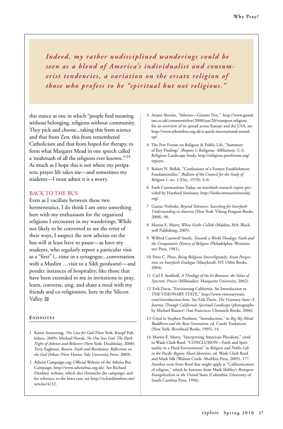*Indeed, my rather undisciplined wanderings could be seen as a blend of America's individualist and consumerist tendencies, a variation on the ersatz religion of those who profess to be "spiritual but not religious."*

this stance as one in which "people find meaning without belonging, religions without community. They pick and choose...taking this from science and that from Zen, this from remembered Catholicism and that from hoped-for therapy, to form what Margaret Mead in one speech called a 'mishmash of all the religions ever known.'"14 As much as I hope this is not where my peripatetic prayer life takes me—and sometimes my students—I must admit it is a worry.

### Back to the bus

Even as I vacillate between these two hermeneutics, I do think I am onto something here with my enthusiasm for the organized religions I encounter in my wanderings. While not likely to be converted to see the error of their ways, I suspect the new atheists on the bus will at least have to pause—as have my students, who regularly report a particular visit as a "first" (...time in a synagogue...conversation with a Muslim …visit to a Sikh *gurdwara*)—and ponder instances of hospitality, like those that have been extended to me in invitations to pray, learn, converse, sing, and share a meal with my friends and co-religionists, here in the Silicon Valley.<sup>e</sup>

### **Endnotes**

- 1 Karen Armstrong, *The Case for God* (New York: Knopf Publishers, 2009); Michael Novak, *No One Sees God: The Dark Night of Atheists and Believers* (New York: Doubleday, 2008); Terry Eagleton, *Reason, Faith and Revolution: Reflections on the God Debate* (New Haven: Yale University Press, 2009).
- 2 Atheist Campaign.org: Official Website of the Atheist Bus Campaign, http://www.atheistbus.org.uk/. See Richard Dawkins' website, which also chronicles the campaign, and for reference to the Iowa case, see http://richarddawkins.net/ articles/4132.
- 3 Ariane Sherine, "Atheists—Gimme Five," http://www.guardian.co.uk/commentisfree/2008/jun/20/transport.religion; for an overview of its spread across Europe and the USA, see http://www.atheistbus.org.uk/a-quick-international-roundup/.
- 4 The Pew Forum on Religion & Public Life, "Summary of Key Findings" (Report 1: Religious Affiliation), U.S. Religious Landscape Study, http://religions.pewforum.org/ reports.
- 5 Robert N. Bellah, "Confessions of a Former Establishment Fundamentalist," *Bulletin of the Council for the Study of Religion* 1, no. 3 (Dec. 1970): 3–6.
- 6 Faith Communities Today, an interfaith research report provided by Hartford Seminary, http://faithcommunitiestoday. org/.
- 7 Gustav Niebuhr, *Beyond Tolerance: Searching for Interfaith Understanding in America* (New York: Viking Penguin Books, 2008), 90.
- 8 Martin E. Marty, *When Faiths Collide* (Malden, MA: Blackwell Publishing, 2005).
- 9 Wilfred Cantwell Smith, *Towards a World Theology: Faith and the Comparative History of Religion* (Philadelphia: Westminster Press, 1981).
- 10 Peter C. Phan, *Being Religious Interreligiously: Asian Perspectives on Interfaith Dialogue* (Maryknoll, NY: Orbis Books, 2004).
- 11 Carl F. Starkloff, *A Theology of the In-Between: the Value of Syncretic Process* (Milwaukee: Marquette University, 2002).
- 12 Erik Davis, "Envisioning California: An Introduction to THE VISIONARY STATE," http://www.visionarystate. com/introduction.htm. See Erik Davis, *The Visionary State: A Journey Through California's Spiritual Landscape* (photographs by Michael Rauner) (San Francisco: Chronicle Books, 2006).
- 13 Cited in Stephen Prothero, "Introduction," in *Big Sky Mind: Buddhism and the Beat Generation,* ed. Carole Tonkinson (New York: Riverhead Books, 1995), 14.
- 14 Martin E. Marty, "Interpreting American Pluralism," cited in Wade Clark Roof, "CONCLUSION—Faith and Spirituality in a Fluid Environment" in *Religion and Public Life in the Pacific Region: Fluid Identities,* ed. Wade Clark Roof and Mark Silk (Walnut Creek: AltaMira Press, 2005), 177. Another term from Roof that might apply is "Californication of religion," which he borrows from Mark Shibley's *Resurgent Evangelicalism in the United States* (Columbia: University of South Carolina Press, 1996).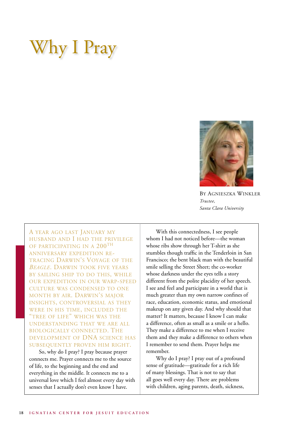### Why I Pray



By Agnieszka Winkler *Trustee, Santa Clara University*

A year ago last January my husband and I had the privilege OF PARTICIPATING IN A 200<sup>TH</sup> anniversary expedition retracing Darwin's Voyage of the *Beagle*. Darwin took five years by sailing ship to do this, while our expedition in our warp-speed culture was condensed to one month by air. Darwin's major insights, controversial as they were in his time, included the "tree of life" which was the understanding that we are all biologically connected. The development of DNA science has subsequently proven him right.

So, why do I pray? I pray because prayer connects me. Prayer connects me to the source of life, to the beginning and the end and everything in the middle. It connects me to a universal love which I feel almost every day with senses that I actually don't even know I have.

With this connectedness, I see people whom I had not noticed before—the woman whose ribs show through her T-shirt as she stumbles though traffic in the Tenderloin in San Francisco; the bent black man with the beautiful smile selling the Street Sheet; the co-worker whose darkness under the eyes tells a story different from the polite placidity of her speech. I see and feel and participate in a world that is much greater than my own narrow confines of race, education, economic status, and emotional makeup on any given day. And why should that matter? It matters, because I know I can make a difference, often as small as a smile or a hello. They make a difference to me when I receive them and they make a difference to others when I remember to send them. Prayer helps me remember.

Why do I pray? I pray out of a profound sense of gratitude—gratitude for a rich life of many blessings. That is not to say that all goes well every day. There are problems with children, aging parents, death, sickness,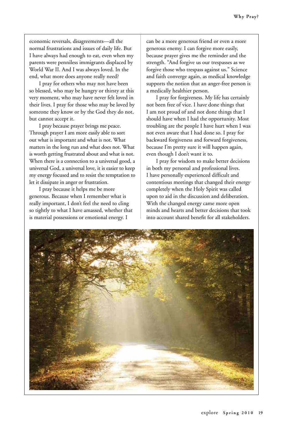economic reversals, disagreements—all the normal frustrations and issues of daily life. But I have always had enough to eat, even when my parents were penniless immigrants displaced by World War II. And I was always loved. In the end, what more does anyone really need?

I pray for others who may not have been so blessed, who may be hungry or thirsty at this very moment, who may have never felt loved in their lives. I pray for those who may be loved by someone they know or by the God they do not, but cannot accept it.

I pray because prayer brings me peace. Through prayer I am more easily able to sort out what is important and what is not. What matters in the long run and what does not. What is worth getting frustrated about and what is not. When there is a connection to a universal good, a universal God, a universal love, it is easier to keep my energy focused and to resist the temptation to let it dissipate in anger or frustration.

I pray because it helps me be more generous. Because when I remember what is really important, I don't feel the need to cling so tightly to what I have amassed, whether that is material possessions or emotional energy. I

can be a more generous friend or even a more generous enemy. I can forgive more easily, because prayer gives me the reminder and the strength. "And forgive us our trespasses as we forgive those who trespass against us." Science and faith converge again, as medical knowledge supports the notion that an anger-free person is a medically healthier person.

I pray for forgiveness. My life has certainly not been free of vice. I have done things that I am not proud of and not done things that I should have when I had the opportunity. Most troubling are the people I have hurt when I was not even aware that I had done so. I pray for backward forgiveness and forward forgiveness, because I'm pretty sure it will happen again, even though I don't want it to.

I pray for wisdom to make better decisions in both my personal and professional lives. I have personally experienced difficult and contentious meetings that changed their energy completely when the Holy Spirit was called upon to aid in the discussion and deliberation. With the changed energy came more open minds and hearts and better decisions that took into account shared benefit for all stakeholders.

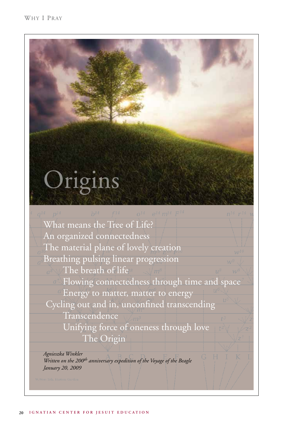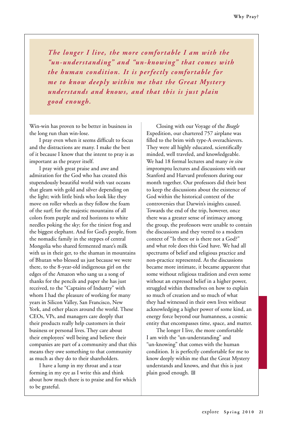*The longer I live, the more comfortable I am with the "un-understanding" and "un-knowing" that comes with the human condition. It is perfectly comfortable for me to know deeply within me that the Great Myster y understands and knows, and that this is just plain good enough.*

Win-win has proven to be better in business in the long run than win-lose.

I pray even when it seems difficult to focus and the distractions are many. I make the best of it because I know that the intent to pray is as important as the prayer itself.

I pray with great praise and awe and admiration for the God who has created this stupendously beautiful world with vast oceans that gleam with gold and silver depending on the light; with little birds who look like they move on roller wheels as they follow the foam of the surf; for the majestic mountains of all colors from purple and red horizons to white needles poking the sky; for the tiniest frog and the biggest elephant. And for God's people, from the nomadic family in the steppes of central Mongolia who shared fermented mare's milk with us in their ger, to the shaman in mountains of Bhutan who blessed us just because we were there, to the 8-year-old indigenous girl on the edges of the Amazon who sang us a song of thanks for the pencils and paper she has just received, to the "Captains of Industry" with whom I had the pleasure of working for many years in Silicon Valley, San Francisco, New York, and other places around the world. These CEOs, VPs, and managers care deeply that their products really help customers in their business or personal lives. They care about their employees' well being and believe their companies are part of a community and that this means they owe something to that community as much as they do to their shareholders.

I have a lump in my throat and a tear forming in my eye as I write this and think about how much there is to praise and for which to be grateful.

Closing with our Voyage of the *Beagle* Expedition, our chartered 757 airplane was filled to the brim with type-A overachievers. They were all highly educated, scientifically minded, well traveled, and knowledgeable. We had 18 formal lectures and many *in situ* impromptu lectures and discussions with our Stanford and Harvard professors during our month together. Our professors did their best to keep the discussions about the existence of God within the historical context of the controversies that Darwin's insights caused. Towards the end of the trip, however, once there was a greater sense of intimacy among the group, the professors were unable to contain the discussions and they veered to a modern context of "Is there or is there not a God?" and what role does this God have. We had all spectrums of belief and religious practice and non-practice represented. As the discussions became more intimate, it became apparent that some without religious tradition and even some without an expressed belief in a higher power, struggled within themselves on how to explain so much of creation and so much of what they had witnessed in their own lives without acknowledging a higher power of some kind, an energy force beyond our humanness, a cosmic entity that encompasses time, space, and matter.

The longer I live, the more comfortable I am with the "un-understanding" and "un-knowing" that comes with the human condition. It is perfectly comfortable for me to know deeply within me that the Great Mystery understands and knows, and that this is just plain good enough. **e**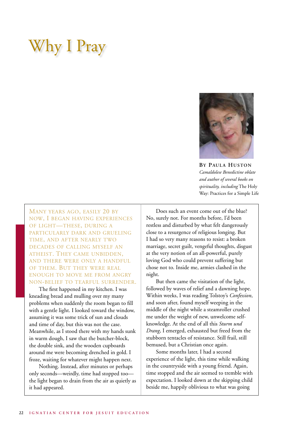### Why I Pray



**By Paul a Huston** *Camaldolese Benedictine oblate and author of several books on spirituality, including* The Holy Way: Practices for a Simple Life

Many years ago, easily 20 by now, I began having experiences of light—these, during a particularly dark and grueling time, and after nearly two decades of calling myself an atheist. They came unbidden, and there were only a handful of them. But they were real enough to move me from angry non-belief to tearful surrender.

The first happened in my kitchen. I was kneading bread and mulling over my many problems when suddenly the room began to fill with a gentle light. I looked toward the window, assuming it was some trick of sun and clouds and time of day, but this was not the case. Meanwhile, as I stood there with my hands sunk in warm dough, I saw that the butcher-block, the double sink, and the wooden cupboards around me were becoming drenched in gold. I froze, waiting for whatever might happen next.

Nothing. Instead, after minutes or perhaps only seconds—weirdly, time had stopped too the light began to drain from the air as quietly as it had appeared.

Does such an event come out of the blue? No, surely not. For months before, I'd been restless and disturbed by what felt dangerously close to a resurgence of religious longing. But I had so very many reasons to resist: a broken marriage, secret guilt, vengeful thoughts, disgust at the very notion of an all-powerful, purely loving God who could prevent suffering but chose not to. Inside me, armies clashed in the night.

But then came the visitation of the light, followed by waves of relief and a dawning hope. Within weeks, I was reading Tolstoy's *Confession*, and soon after, found myself weeping in the middle of the night while a steamroller crushed me under the weight of new, unwelcome selfknowledge. At the end of all this *Sturm und Drang*, I emerged, exhausted but freed from the stubborn tentacles of resistance. Still frail, still bemused, but a Christian once again.

Some months later, I had a second experience of the light, this time while walking in the countryside with a young friend. Again, time stopped and the air seemed to tremble with expectation. I looked down at the skipping child beside me, happily oblivious to what was going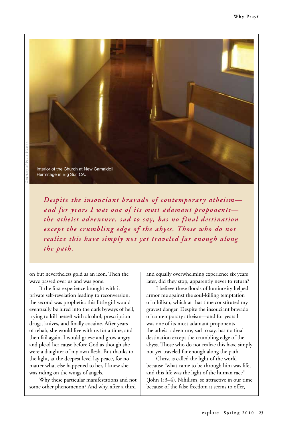

*Despite the insouciant bravado of contemporary atheism and for years I was one of its most adamant proponents the atheist adventure, sad to say, has no final destination except the crumbling edge of the abyss. Those who do not realize this have simply not yet traveled far enough along the path.*

on but nevertheless gold as an icon. Then the wave passed over us and was gone.

If the first experience brought with it private self-revelation leading to reconversion, the second was prophetic: this little girl would eventually be lured into the dark byways of hell, trying to kill herself with alcohol, prescription drugs, knives, and finally cocaine. After years of rehab, she would live with us for a time, and then fail again. I would grieve and grow angry and plead her cause before God as though she were a daughter of my own flesh. But thanks to the light, at the deepest level lay peace, for no matter what else happened to her, I knew she was riding on the wings of angels.

Why these particular manifestations and not some other phenomenon? And why, after a third

and equally overwhelming experience six years later, did they stop, apparently never to return?

I believe these floods of luminosity helped armor me against the soul-killing temptation of nihilism, which at that time constituted my gravest danger. Despite the insouciant bravado of contemporary atheism—and for years I was one of its most adamant proponents the atheist adventure, sad to say, has no final destination except the crumbling edge of the abyss. Those who do not realize this have simply not yet traveled far enough along the path.

Christ is called the light of the world because "what came to be through him was life, and this life was the light of the human race" (John 1:3–4). Nihilism, so attractive in our time because of the false freedom it seems to offer,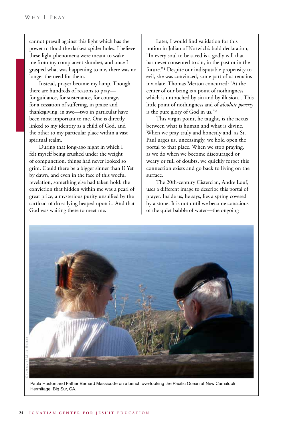cannot prevail against this light which has the power to flood the darkest spider holes. I believe these light phenomena were meant to wake me from my complacent slumber, and once I grasped what was happening to me, there was no longer the need for them.

Instead, prayer became my lamp. Though there are hundreds of reasons to pray for guidance, for sustenance, for courage, for a cessation of suffering, in praise and thanksgiving, in awe—two in particular have been most important to me. One is directly linked to my identity as a child of God, and the other to my particular place within a vast spiritual realm.

During that long-ago night in which I felt myself being crushed under the weight of compunction, things had never looked so grim. Could there be a bigger sinner than I? Yet by dawn, and even in the face of this woeful revelation, something else had taken hold: the conviction that hidden within me was a pearl of great price, a mysterious purity unsullied by the cartload of dross lying heaped upon it. And that God was waiting there to meet me.

Later, I would find validation for this notion in Julian of Norwich's bold declaration, "In every soul to be saved is a godly will that has never consented to sin, in the past or in the future."<sup>1</sup> Despite our indisputable propensity to evil, she was convinced, some part of us remains inviolate. Thomas Merton concurred: "At the center of our being is a point of nothingness which is untouched by sin and by illusion....This little point of nothingness and of *absolute poverty* is the pure glory of God in us."<sup>2</sup>

This virgin point, he taught, is the nexus between what is human and what is divine. When we pray truly and honestly and, as St. Paul urges us, unceasingly, we hold open the portal to that place. When we stop praying, as we do when we become discouraged or weary or full of doubts, we quickly forget this connection exists and go back to living on the surface.

The 20th-century Cistercian, Andre Louf, uses a different image to describe this portal of prayer. Inside us, he says, lies a spring covered by a stone. It is not until we become conscious of the quiet babble of water—the ongoing



Paula Huston and Father Bernard Massicotte on a bench overlooking the Pacific Ocean at New Camaldoli Hermitage, Big Sur, CA.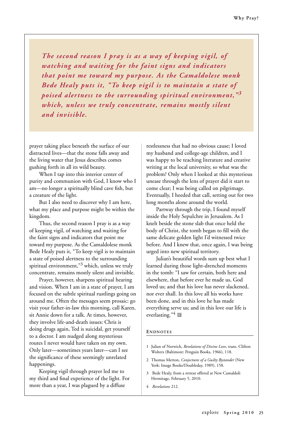*The second reason I pray is as a way of keeping vigil, of watching and waiting for the faint signs and indicators that point me toward my purpose. As the Camaldolese monk Bede Healy puts it, "To keep vigil is to maintain a state of poised alertness to the surrounding spiritual environment,"<sup>3</sup> which, unless we truly concentrate, remains mostly silent and invisible.*

prayer taking place beneath the surface of our distracted lives—that the stone falls away and the living water that Jesus describes comes gushing forth in all its wild beauty.

When I tap into this interior center of purity and communion with God, I know who I am—no longer a spiritually blind cave fish, but a creature of the light.

But I also need to discover why I am here, what my place and purpose might be within the kingdom.

Thus, the second reason I pray is as a way of keeping vigil, of watching and waiting for the faint signs and indicators that point me toward my purpose. As the Camaldolese monk Bede Healy puts it, "To keep vigil is to maintain a state of poised alertness to the surrounding spiritual environment,"<sup>3</sup> which, unless we truly concentrate, remains mostly silent and invisible.

Prayer, however, sharpens spiritual hearing and vision. When I am in a state of prayer, I am focused on the subtle spiritual rustlings going on around me. Often the messages seem prosaic: go visit your father-in-law this morning, call Karen, sit Annie down for a talk. At times, however, they involve life-and-death issues: Chris is doing drugs again, Ted is suicidal, get yourself to a doctor. I am nudged along mysterious routes I never would have taken on my own. Only later—sometimes years later—can I see the significance of these seemingly unrelated happenings.

Keeping vigil through prayer led me to my third and final experience of the light. For more than a year, I was plagued by a diffuse

restlessness that had no obvious cause; I loved my husband and college-age children, and I was happy to be teaching literature and creative writing at the local university, so what was the problem? Only when I looked at this mysterious unease through the lens of prayer did it start to come clear; I was being called on pilgrimage. Eventually, I heeded that call, setting out for two long months alone around the world.

Partway through the trip, I found myself inside the Holy Sepulchre in Jerusalem. As I knelt beside the stone slab that once held the body of Christ, the tomb began to fill with the same delicate golden light I'd witnessed twice before. And I knew that, once again, I was being urged into new spiritual territory.

Julian's beautiful words sum up best what I learned during those light-drenched moments in the tomb: "I saw for certain, both here and elsewhere, that before ever he made us, God loved us; and that his love has never slackened, nor ever shall. In this love all his works have been done, and in this love he has made everything serve us; and in this love our life is everlasting."<sup>4</sup> E

### **Endnotes**

- 1 Julian of Norwich, *Revelations of Divine Love*, trans. Clifton Wolters (Baltimore: Penguin Books, 1966), 118.
- 2 Thomas Merton, *Conjectures of a Guilty Bystander* (New York: Image Books/Doubleday, 1989), 158.
- 3 Bede Healy, from a retreat offered at New Camaldoli Hermitage, February 5, 2010.
- 4 *Revelations* 212.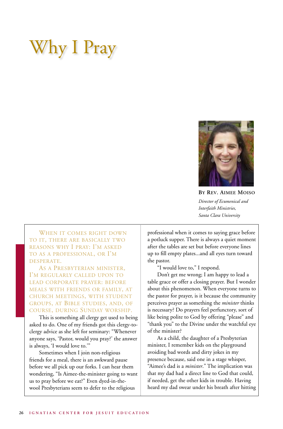### Why I Pray



**By Rev. Aimee Moiso** *Director of Ecumenical and Interfaith Ministries, Santa Clara University*

WHEN IT COMES RIGHT DOWN to it, there are basically two reasons why I pray: I'm asked to as a professional, or I'm desperate.

As a Presbyterian minister, I'm regularly called upon to lead corporate prayer: before meals with friends or family, at church meetings, with student groups, at Bible studies, and, of course, during Sunday worship.

This is something all clergy get used to being asked to do. One of my friends got this clergy-toclergy advice as she left for seminary: "Whenever anyone says, 'Pastor, would you pray?' the answer is always, 'I would love to.'"

Sometimes when I join non-religious friends for a meal, there is an awkward pause before we all pick up our forks. I can hear them wondering, "Is Aimee-the-minister going to want us to pray before we eat?" Even dyed-in-thewool Presbyterians seem to defer to the religious

professional when it comes to saying grace before a potluck supper. There is always a quiet moment after the tables are set but before everyone lines up to fill empty plates...and all eyes turn toward the pastor.

"I would love to," I respond.

Don't get me wrong; I am happy to lead a table grace or offer a closing prayer. But I wonder about this phenomenon. When everyone turns to the pastor for prayer, is it because the community perceives prayer as something the *minister* thinks is necessary? Do prayers feel perfunctory, sort of like being polite to God by offering "please" and "thank you" to the Divine under the watchful eye of the minister?

As a child, the daughter of a Presbyterian minister, I remember kids on the playground avoiding bad words and dirty jokes in my presence because, said one in a stage whisper, "Aimee's dad is a *minister*." The implication was that my dad had a direct line to God that could, if needed, get the other kids in trouble. Having heard my dad swear under his breath after hitting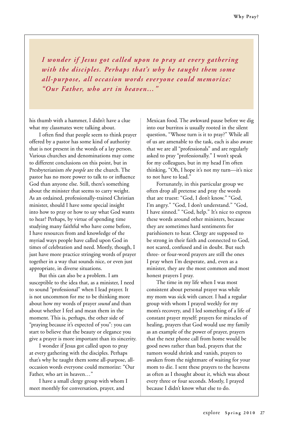*I wonder if Jesus got called upon to pray at every gathering with the disciples. Perhaps that's why he taught them some all-purpose, all occasion words everyone could memorize: "Our Father, who art in heaven…"*

his thumb with a hammer, I didn't have a clue what my classmates were talking about.

I often find that people seem to think prayer offered by a pastor has some kind of authority that is not present in the words of a lay person. Various churches and denominations may come to different conclusions on this point, but in Presbyterianism *the people* are the church. The pastor has no more power to talk to or influence God than anyone else. Still, there's something about the minister that seems to carry weight. As an ordained, professionally-trained Christian minister, should I have some special insight into how to pray or how to say what God wants to hear? Perhaps, by virtue of spending time studying many faithful who have come before, I have resources from and knowledge of the myriad ways people have called upon God in times of celebration and need. Mostly, though, I just have more practice stringing words of prayer together in a way that sounds nice, or even just appropriate, in diverse situations.

But this can also be a problem. I am susceptible to the idea that, as a minister, I need to sound "professional" when I lead prayer. It is not uncommon for me to be thinking more about how my words of prayer *sound* and than about whether I feel and mean them in the moment. This is, perhaps, the other side of "praying because it's expected of you": you can start to believe that the beauty or elegance you give a prayer is more important than its sincerity.

I wonder if Jesus got called upon to pray at every gathering with the disciples. Perhaps that's why he taught them some all-purpose, alloccasion words everyone could memorize: "Our Father, who art in heaven…"

I have a small clergy group with whom I meet monthly for conversation, prayer, and

Mexican food. The awkward pause before we dig into our burritos is usually rooted in the silent question, "Whose turn is it to pray?" While all of us are amenable to the task, each is also aware that we are all "professionals" and are regularly asked to pray "professionally." I won't speak for my colleagues, but in my head I'm often thinking, "Oh, I hope it's not my turn—it's nice to not have to lead."

Fortunately, in this particular group we often drop all pretense and pray the words that are truest: "God, I don't know." "God, I'm angry." "God, I don't understand." "God, I have sinned." "God, help." It's nice to express these words around other ministers, because they are sometimes hard sentiments for parishioners to hear. Clergy are supposed to be strong in their faith and connected to God, not scared, confused and in doubt. But such three- or four-word prayers are still the ones I pray when I'm desperate, and, even as a minister, they are the most common and most honest prayers I pray.

The time in my life when I was most consistent about personal prayer was while my mom was sick with cancer. I had a regular group with whom I prayed weekly for my mom's recovery, and I led something of a life of constant prayer myself: prayers for miracles of healing, prayers that God would use my family as an example of the power of prayer, prayers that the next phone call from home would be good news rather than bad, prayers that the tumors would shrink and vanish, prayers to awaken from the nightmare of waiting for your mom to die. I sent these prayers to the heavens as often as I thought about it, which was about every three or four seconds. Mostly, I prayed because I didn't know what else to do.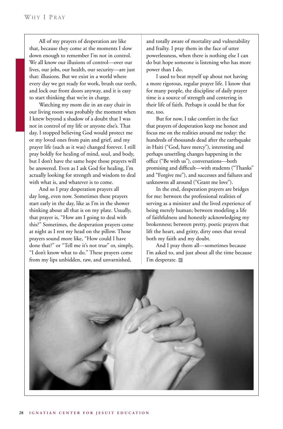All of my prayers of desperation are like that, because they come at the moments I slow down enough to remember I'm not in control. We all know our illusions of control—over our lives, our jobs, our health, our security—are just that: illusions. But we exist in a world where every day we get ready for work, brush our teeth, and lock our front doors anyway, and it is easy to start thinking that we're in charge.

Watching my mom die in an easy chair in our living room was probably the moment when I knew beyond a shadow of a doubt that I was not in control of my life or anyone else's. That day, I stopped believing God would protect me or my loved ones from pain and grief, and my prayer life (such as it was) changed forever. I still pray boldly for healing of mind, soul, and body, but I don't have the same hope those prayers will be answered. Even as I ask God for healing, I'm actually looking for strength and wisdom to deal with what is, and whatever is to come.

And so I pray desperation prayers all day long, even now. Sometimes these prayers start early in the day, like as I'm in the shower thinking about all that is on my plate. Usually, that prayer is, "How am I going to deal with this?" Sometimes, the desperation prayers come at night as I rest my head on the pillow. Those prayers sound more like, "How could I have done that?" or "Tell me it's not true" or, simply, "I don't know what to do." These prayers come from my lips unbidden, raw, and unvarnished,

and totally aware of mortality and vulnerability and frailty. I pray them in the face of utter powerlessness, when there is nothing else I can do but hope someone is listening who has more power than I do.

I used to beat myself up about not having a more rigorous, regular prayer life. I know that for many people, the discipline of daily prayer time is a source of strength and centering in their life of faith. Perhaps it could be that for me, too.

But for now, I take comfort in the fact that prayers of desperation keep me honest and focus me on the realities around me today: the hundreds of thousands dead after the earthquake in Haiti ("God, have mercy"), interesting and perhaps unsettling changes happening in the office ("Be with us"), conversations—both promising and difficult—with students ("Thanks" and "Forgive me"), and successes and failures and unknowns all around ("Grant me love").

In the end, desperation prayers are bridges for me: between the professional realities of serving as a minister and the lived experience of being merely human; between modeling a life of faithfulness and honestly acknowledging my brokenness; between pretty, poetic prayers that lift the heart, and gritty, dirty ones that reveal both my faith and my doubt.

And I pray them all—sometimes because I'm asked to, and just about all the time because I'm desperate. e

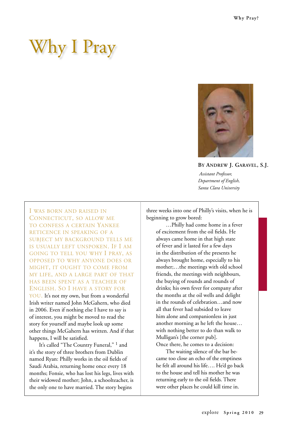## Why I Pray



**By Andrew J. Garavel, S.J.**

 *Assistant Professor, Department of English, Santa Clara University*

I was born and raised in Connecticut, so allow me to confess a certain Yankee reticence in speaking of a subject my background tells me is usually left unspoken. If I am going to tell you why I pray, as opposed to why anyone does or might, it ought to come from my life, and a large part of that has been spent as a teacher of English. So I have a story for you. It's not my own, but from a wonderful Irish writer named John McGahern, who died in 2006. Even if nothing else I have to say is of interest, you might be moved to read the story for yourself and maybe look up some other things McGahern has written. And if that happens, I will be satisfied.

It's called "The Country Funeral," <sup>1</sup> and it's the story of three brothers from Dublin named Ryan: Philly works in the oil fields of Saudi Arabia, returning home once every 18 months; Fonsie, who has lost his legs, lives with their widowed mother; John, a schoolteacher, is the only one to have married. The story begins

three weeks into one of Philly's visits, when he is beginning to grow bored:

…Philly had come home in a fever of excitement from the oil fields. He always came home in that high state of fever and it lasted for a few days in the distribution of the presents he always brought home, especially to his mother;…the meetings with old school friends, the meetings with neighbours, the buying of rounds and rounds of drinks; his own fever for company after the months at the oil wells and delight in the rounds of celebration…and now all that fever had subsided to leave him alone and companionless in just another morning as he left the house… with nothing better to do than walk to Mulligan's [the corner pub]. Once there, he comes to a decision:

The waiting silence of the bar became too close an echo of the emptiness he felt all around his life…. He'd go back to the house and tell his mother he was returning early to the oil fields. There were other places he could kill time in.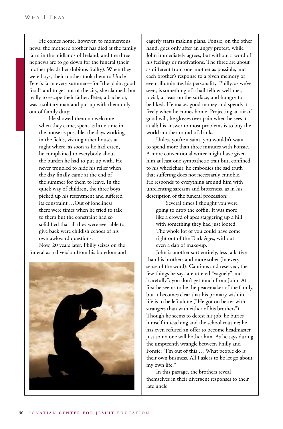He comes home, however, to momentous news: the mother's brother has died at the family farm in the midlands of Ireland, and the three nephews are to go down for the funeral (their mother pleads her dubious frailty). When they were boys, their mother took them to Uncle Peter's farm every summer—for "the plain, good food" and to get out of the city, she claimed, but really to escape their father. Peter, a bachelor, was a solitary man and put up with them only out of family duty:

He showed them no welcome when they came, spent as little time in the house as possible, the days working in the fields, visiting other houses at night where, as soon as he had eaten, he complained to everybody about the burden he had to put up with. He never troubled to hide his relief when the day finally came at the end of the summer for them to leave. In the quick way of children, the three boys picked up his resentment and suffered its constraint …Out of loneliness there were times when he tried to talk to them but the constraint had so solidified that all they were ever able to give back were childish echoes of his own awkward questions.

Now, 20 years later, Philly seizes on the funeral as a diversion from his boredom and



eagerly starts making plans. Fonsie, on the other hand, goes only after an angry protest, while John immediately agrees, but without a word of his feelings or motivations. The three are about as different from one another as possible, and each brother's response to a given memory or event illuminates his personality. Philly, as we've seen, is something of a hail-fellow-well-met, jovial, at least on the surface, and hungry to be liked. He makes good money and spends it freely when he comes home. Projecting an air of good will, he glosses over pain when he sees it at all; his answer to most problems is to buy the world another round of drinks.

Unless you're a saint, you wouldn't want to spend more than three minutes with Fonsie. A more conventional writer might have given him at least one sympathetic trait but, confined to his wheelchair, he embodies the sad truth that suffering does not necessarily ennoble. He responds to everything around him with unrelenting sarcasm and bitterness, as in his description of the funeral procession:

Several times I thought you were going to drop the coffin. It was more like a crowd of apes staggering up a hill with something they had just looted. The whole lot of you could have come right out of the Dark Ages, without even a dab of make-up.

John is another sort entirely, less talkative than his brothers and more sober (in every sense of the word). Cautious and reserved, the few things he says are uttered "vaguely" and "carefully": you don't get much from John. At first he seems to be the peacemaker of the family, but it becomes clear that his primary wish in life is to be left alone ("He got on better with strangers than with either of his brothers"). Though he seems to detest his job, he buries himself in teaching and the school routine; he has even refused an offer to become headmaster just so no one will bother him. As he says during the umpteenth wrangle between Philly and Fonsie: "I'm out of this … What people do is their own business. All I ask is to be let go about my own life."

In this passage, the brothers reveal themselves in their divergent responses to their late uncle: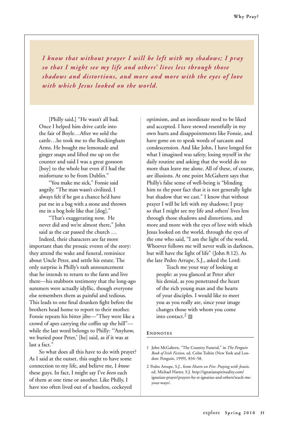*I know that without prayer I will be left with my shadows; I pray so that I might see my life and others' lives less through those shadows and distortions, and more and more with the eyes of love with which Jesus looked on the world.*

[Philly said,] "He wasn't all bad. Once I helped him drive cattle into the fair of Boyle…After we sold the cattle…he took me to the Rockingham Arms. He bought me lemonade and ginger snaps and lifted me up on the counter and said I was a great gossoon [boy] to the whole bar even if I had the misfortune to be from Dublin."

"You make me sick," Fonsie said angrily. "The man wasn't civilized. I always felt if he got a chance he'd have put me in a bag with a stone and thrown me in a bog hole like that [dog]."

"That's exaggerating now. He never did and we're almost there," John said as the car passed the church …

Indeed, their characters are far more important than the prosaic events of the story: they attend the wake and funeral, reminisce about Uncle Peter, and settle his estate. The only surprise is Philly's rash announcement that he intends to return to the farm and live there—his stubborn testimony that the long-ago summers were actually idyllic, though everyone else remembers them as painful and tedious. This leads to one final drunken fight before the brothers head home to report to their mother. Fonsie repeats his bitter jibe—"They were like a crowd of apes carrying the coffin up the hill" while the last word belongs to Philly: "'Anyhow, we buried poor Peter,' [he] said, as if it was at last a fact."

So what does all this have to do with prayer? As I said at the outset, this ought to have some connection to my life, and believe me, I *know* these guys. In fact, I might say I've *been* each of them at one time or another. Like Philly, I have too often lived out of a baseless, cockeyed

optimism, and an inordinate need to be liked and accepted. I have stewed resentfully in my own hurts and disappointments like Fonsie, and have gone on to speak words of sarcasm and condescension. And like John, I have longed for what I imagined was safety, losing myself in the daily routine and asking that the world do no more than leave me alone. All of these, of course, are illusions. At one point McGahern says that Philly's false sense of well-being is "blinding him to the poor fact that it is not generally light but shadow that we cast." I know that without prayer I will be left with my shadows; I pray so that I might see my life and others' lives less through those shadows and distortions, and more and more with the eyes of love with which Jesus looked on the world, through the eyes of the one who said, "I am the light of the world. Whoever follows me will never walk in darkness, but will have the light of life" (John 8:12). As the late Pedro Arrupe, S.J., asked the Lord:

Teach me your way of looking at people: as you glanced at Peter after his denial, as you penetrated the heart of the rich young man and the hearts of your disciples. I would like to meet you as you really are, since your image changes those with whom you come into contact.<sup>2</sup> e

### **ENDNOTES**

<sup>1</sup> John McGahern, "The Country Funeral," in *The Penguin Book of Irish Fiction*, ed. Colm Toibin (New York and London: Penguin, 1999), 834–58.

<sup>2</sup> Pedro Arrupe, S.J., from *Hearts on Fire: Praying with Jesuits,* ed. Michael Harter, S.J. http://ignatianspirituality.com/ ignatian-prayer/prayers-by-st-ignatius-and-others/teach-meyour-ways/.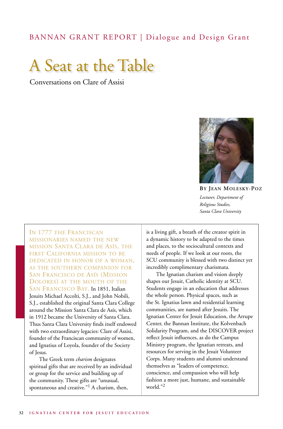### BANNAN GRANT REPORT | Dialogue and Design Grant



Conversations on Clare of Assisi



**By Jean Molesky-Poz** *Lecturer, Department of Religious Studies, Santa Clara University*

In 1777 the Franciscan missionaries named the new mission Santa Clara de Asís, the first California mission to be dedicated in honor of a woman, as the southern companion for San Francisco de Asís (Mission Dolores) at the mouth of the San Francisco Bay. In 1851, Italian Jesuits Michael Accolti, S.J., and John Nobili, S.J., established the original Santa Clara College around the Mission Santa Clara de Asís, which in 1912 became the University of Santa Clara. Thus Santa Clara University finds itself endowed with two extraordinary legacies: Clare of Assisi, founder of the Franciscan community of women, and Ignatius of Loyola, founder of the Society of Jesus.

The Greek term *charism* designates spiritual gifts that are received by an individual or group for the service and building up of the community. These gifts are "unusual, spontaneous and creative."<sup>1</sup> A charism, then,

is a living gift, a breath of the creator spirit in a dynamic history to be adapted to the times and places, to the sociocultural contexts and needs of people. If we look at our roots, the SCU community is blessed with two distinct yet incredibly complimentary charismata.

The Ignatian charism and vision deeply shapes our Jesuit, Catholic identity at SCU. Students engage in an education that addresses the whole person. Physical spaces, such as the St. Ignatius lawn and residential learning communities, are named after Jesuits. The Ignatian Center for Jesuit Education, the Arrupe Center, the Bannan Institute, the Kolvenbach Solidarity Program, and the DISCOVER project reflect Jesuit influences, as do the Campus Ministry program, the Ignatian retreats, and resources for serving in the Jesuit Volunteer Corps. Many students and alumni understand themselves as "leaders of competence, conscience, and compassion who will help fashion a more just, humane, and sustainable world."<sup>2</sup>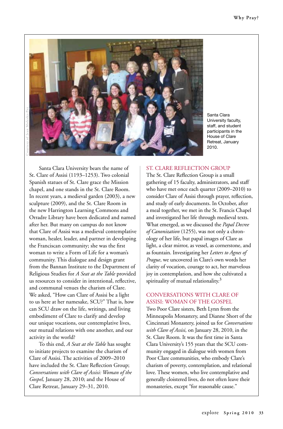

Santa Clara University faculty, staff, and student participants in the House of Clare Retreat, January 2010.

Santa Clara University bears the name of St. Clare of Assisi (1193–1253). Two colonial Spanish statues of St. Clare grace the Mission chapel, and one stands in the St. Clare Room. In recent years, a medieval garden (2003), a new sculpture (2009), and the St. Clare Room in the new Harrington Learning Commons and Orradre Library have been dedicated and named after her. But many on campus do not know that Clare of Assisi was a medieval contemplative woman, healer, leader, and partner in developing the Franciscan community; she was the first woman to write a Form of Life for a woman's community. This dialogue and design grant from the Bannan Institute to the Department of Religious Studies for *A Seat at the Table* provided us resources to consider in intentional, reflective, and communal venues the charism of Clare. We asked, "How can Clare of Assisi be a light to us here at her namesake, SCU?" That is, how can SCU draw on the life, writings, and living embodiment of Clare to clarify and develop our unique vocations, our contemplative lives, our mutual relations with one another, and our activity in the world?

To this end, *A Seat at the Table* has sought to initiate projects to examine the charism of Clare of Assisi. The activities of 2009–2010 have included the St. Clare Reflection Group; *Conversations with Clare of Assisi: Woman of the Gospel,* January 28, 2010; and the House of Clare Retreat, January 29–31, 2010.

### St. Clare Reflection Group

The St. Clare Reflection Group is a small gathering of 15 faculty, administrators, and staff who have met once each quarter (2009–2010) to consider Clare of Assisi through prayer, reflection, and study of early documents. In October, after a meal together, we met in the St. Francis Chapel and investigated her life through medieval texts. What emerged, as we discussed the *Papal Decree of Canonization* (1255), was not only a chronology of her life, but papal images of Clare as light, a clear mirror, as vessel, as cornerstone, and as fountain. Investigating her *Letters to Agnes of Prague*, we uncovered in Clare's own words her clarity of vocation, courage to act, her marvelous joy in contemplation, and how she cultivated a spirituality of mutual relationality. $3$ 

### Conversations with Clare of Assisi: Woman of the Gospel

Two Poor Clare sisters, Beth Lynn from the Minneapolis Monastery, and Dianne Short of the Cincinnati Monastery, joined us for *Conversations with Clare of Assisi,* on January 28, 2010, in the St. Clare Room. It was the first time in Santa Clara University's 155 years that the SCU community engaged in dialogue with women from Poor Clare communities, who embody Clare's charism of poverty, contemplation, and relational love. These women, who live contemplative and generally cloistered lives, do not often leave their monasteries, except "for reasonable cause."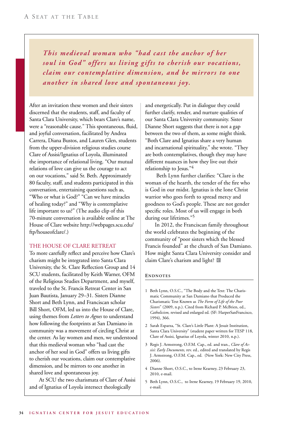*This medieval woman who "had cast the anchor of her soul in God" offers us living gifts to cherish our vocations, claim our contemplative dimension, and be mirrors to one another in shared love and spontaneous joy.*

After an invitation these women and their sisters discerned that the students, staff, and faculty of Santa Clara University, which bears Clare's name, were a "reasonable cause." This spontaneous, fluid, and joyful conversation, facilitated by Andrea Carrera, Diana Bustos, and Lauren Glen, students from the upper-division religious studies course Clare of Assisi/Ignatius of Loyola, illuminated the importance of relational living. "Our mutual relations of love can give us the courage to act on our vocations," said Sr. Beth. Approximately 80 faculty, staff, and students participated in this conversation, entertaining questions such as, "Who or what is God?" "Can we have miracles of healing today?" and "Why is contemplative life important to us?" (The audio clip of this 70-minute conversation is available online at The House of Clare website http://webpages.scu.edu/ ftp/houseofclare/.)

### The House of Clare Retreat

To more carefully reflect and perceive how Clare's charism might be integrated into Santa Clara University, the St. Clare Reflection Group and 14 SCU students, facilitated by Keith Warner, OFM of the Religious Studies Department, and myself, traveled to the St. Francis Retreat Center in San Juan Bautista, January 29–31. Sisters Dianne Short and Beth Lynn, and Franciscan scholar Bill Short, OFM, led us into the House of Clare, using themes from *Letters to Agnes* to understand how following the footprints at San Damiano in community was a movement of circling Christ at the center. As lay women and men, we understood that this medieval woman who "had cast the anchor of her soul in God" offers us living gifts to cherish our vocations, claim our contemplative dimension, and be mirrors to one another in shared love and spontaneous joy.

At SCU the two charismata of Clare of Assisi and of Ignatius of Loyola intersect theologically

and energetically. Put in dialogue they could further clarify, render, and nurture qualities of our Santa Clara University community. Sister Dianne Short suggests that there is not a gap between the two of them, as some might think. "Both Clare and Ignatius share a very human and incarnational spirituality," she wrote. "They are both contemplatives, though they may have different nuances in how they live out their relationship to Jesus."4

 Beth Lynn further clarifies: "Clare is the woman of the hearth, the tender of the fire who is God in our midst. Ignatius is the lone Christ warrior who goes forth to spread mercy and goodness to God's people. These are not gender specific roles. Most of us will engage in both during our lifetimes."<sup>5</sup>

In 2012, the Franciscan family throughout the world celebrates the beginning of the community of "poor sisters which the blessed Francis founded" at the church of San Damiano. How might Santa Clara University consider and claim Clare's charism and light?

### **Endnotes**

- 1 Beth Lynn, O.S.C., "The Body and the Text: The Charismatic Community at San Damiano that Produced the Charismatic Text Known as *The Form of Life of the Poor Sisters*" (2009, n.p.). Cited from Richard P. McBrien, ed., *Catholicism,* revised and enlarged ed. (SF: HarperSanFrancisco, 1994), 366.
- 2 Sarah Esparza, "St. Clare's Little Plant: A Jesuit Institution, Santa Clara University" (student paper written for TESP 118, Clare of Assisi, Ignatius of Loyola, winter 2010, n.p.).
- 3 Regis J. Armstrong, O.F.M. Cap., ed. and tran., *Clare of Assisi: Early Documents,* rev. ed*.*, edited and translated by Regis J. Armstrong, O.F.M. Cap., ed. (New York: New City Press, 2006).
- 4 Dianne Short, O.S.C., to Irene Kearney, 23 February 23, 2010, e-mail.
- 5 Beth Lynn, O.S.C., to Irene Kearney, 19 February 19, 2010, e-mail.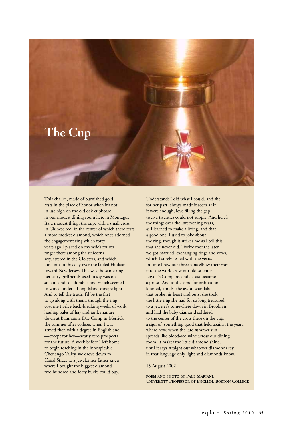

This chalice, made of burnished gold, rests in the place of honor when it's not in use high on the old oak cupboard in our modest dining room here in Montague. It's a modest thing, the cup, with a small cross in Chinese red, in the center of which there rests a more modest diamond, which once adorned the engagement ring which forty years ago I placed on my wife's fourth finger there among the unicorns sequestered in the Cloisters, and which look out to this day over the fabled Hudson toward New Jersey. This was the same ring her catty girlfriends used to say was oh so cute and so adorable, and which seemed to wince under a Long Island canapé light. And to tell the truth, I'd be the first to go along with them, though the ring cost me twelve back-breaking weeks of work hauling bales of hay and rank manure down at Baumann's Day Camp in Merrick the summer after college, when I was armed then with a degree in English and —except for her—nearly zero prospects for the future. A week before I left home to begin teaching in the inhospitable Chenango Valley, we drove down to Canal Street to a jeweler her father knew, where I bought the biggest diamond two hundred and forty bucks could buy.

Understand: I did what I could, and she, for her part, always made it seem as if it were enough, love filling the gap twelve twenties could not supply. And here's the thing: over the intervening years, as I learned to make a living, and that a good one, I used to joke about the ring, though it strikes me as I tell this that she never did. Twelve months later we got married, exchanging rings and vows, which I surely tested with the years. In time I saw our three sons elbow their way into the world, saw our oldest enter Loyola's Company and at last become a priest. And as the time for ordination loomed, amidst the awful scandals that broke his heart and ours, she took the little ring she had for so long treasured to a jeweler's somewhere down in Brooklyn, and had the baby diamond soldered to the center of the cross there on the cup, a sign of something good that held against the years, where now, when the late summer sun spreads like blood-red wine across our dining room, it makes the little diamond shine, until it says straight out whatever diamonds say in that language only light and diamonds know.

15 August 2002

**poem and photo by Paul Mariani, University Professor of English, Boston College**